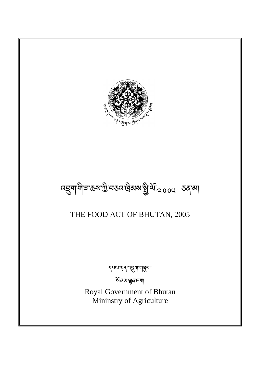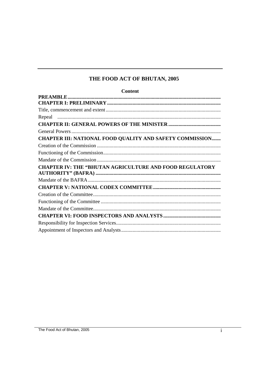# THE FOOD ACT OF BHUTAN, 2005

| <b>Content</b>                                                 |
|----------------------------------------------------------------|
|                                                                |
|                                                                |
|                                                                |
|                                                                |
|                                                                |
|                                                                |
| CHAPTER III: NATIONAL FOOD QUALITY AND SAFETY COMMISSION       |
|                                                                |
|                                                                |
|                                                                |
| <b>CHAPTER IV: THE "BHUTAN AGRICULTURE AND FOOD REGULATORY</b> |
|                                                                |
|                                                                |
|                                                                |
|                                                                |
|                                                                |
|                                                                |
|                                                                |
|                                                                |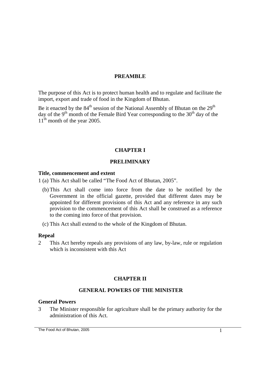## **PREAMBLE**

The purpose of this Act is to protect human health and to regulate and facilitate the import, export and trade of food in the Kingdom of Bhutan.

Be it enacted by the  $84<sup>th</sup>$  session of the National Assembly of Bhutan on the  $29<sup>th</sup>$ day of the 9<sup>th</sup> month of the Female Bird Year corresponding to the  $30<sup>th</sup>$  day of the  $11<sup>th</sup>$  month of the year 2005.

## **CHAPTER I**

## **PRELIMINARY**

#### **Title, commencement and extent**

- 1 (a) This Act shall be called "The Food Act of Bhutan, 2005".
	- (b) This Act shall come into force from the date to be notified by the Government in the official gazette, provided that different dates may be appointed for different provisions of this Act and any reference in any such provision to the commencement of this Act shall be construed as a reference to the coming into force of that provision.
	- (c) This Act shall extend to the whole of the Kingdom of Bhutan.

#### **Repeal**

2 This Act hereby repeals any provisions of any law, by-law, rule or regulation which is inconsistent with this Act

## **CHAPTER II**

### **GENERAL POWERS OF THE MINISTER**

#### **General Powers**

3 The Minister responsible for agriculture shall be the primary authority for the administration of this Act.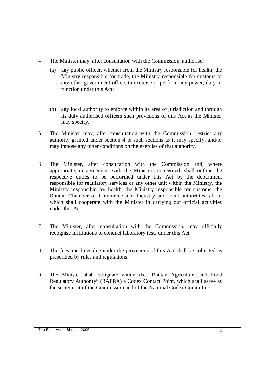- 4 The Minister may, after consultation with the Commission, authorise:
	- (a) any public officer, whether from the Ministry responsible for health, the Ministry responsible for trade, the Ministry responsible for customs or any other government office, to exercise or perform any power, duty or function under this Act;
	- (b) any local authority to enforce within its area of jurisdiction and through its duly authorised officers such provisions of this Act as the Minister may specify.
- 5 The Minister may, after consultation with the Commission, restrict any authority granted under section 4 to such sections as it may specify, and/or may impose any other conditions on the exercise of that authority.
- 6 The Minister, after consultation with the Commission and, where appropriate, in agreement with the Ministers concerned, shall outline the respective duties to be performed under this Act by the department responsible for regulatory services or any other unit within the Ministry, the Ministry responsible for health, the Ministry responsible for customs, the Bhutan Chamber of Commerce and Industry and local authorities, all of which shall cooperate with the Minister in carrying out official activities under this Act.
- 7 The Minister, after consultation with the Commission, may officially recognise institutions to conduct laboratory tests under this Act.
- 8 The fees and fines due under the provisions of this Act shall be collected as prescribed by rules and regulations.
- 9 The Minister shall designate within the "Bhutan Agriculture and Food Regulatory Authority" (BAFRA) a Codex Contact Point, which shall serve as the secretariat of the Commission and of the National Codex Committee.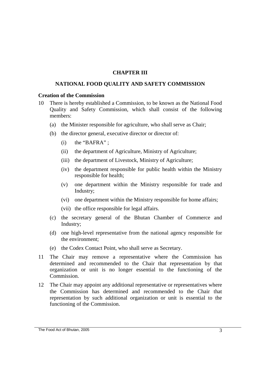## **CHAPTER III**

### **NATIONAL FOOD QUALITY AND SAFETY COMMISSION**

#### **Creation of the Commission**

- 10 There is hereby established a Commission, to be known as the National Food Quality and Safety Commission, which shall consist of the following members:
	- (a) the Minister responsible for agriculture, who shall serve as Chair;
	- (b) the director general, executive director or director of:
		- $(i)$  the "BAFRA" :
		- (ii) the department of Agriculture, Ministry of Agriculture;
		- (iii) the department of Livestock, Ministry of Agriculture;
		- (iv) the department responsible for public health within the Ministry responsible for health;
		- (v) one department within the Ministry responsible for trade and Industry;
		- (vi) one department within the Ministry responsible for home affairs;
		- (vii) the office responsible for legal affairs.
	- (c) the secretary general of the Bhutan Chamber of Commerce and Industry;
	- (d) one high-level representative from the national agency responsible for the environment;
	- (e) the Codex Contact Point, who shall serve as Secretary.
- 11 The Chair may remove a representative where the Commission has determined and recommended to the Chair that representation by that organization or unit is no longer essential to the functioning of the Commission.
- 12 The Chair may appoint any additional representative or representatives where the Commission has determined and recommended to the Chair that representation by such additional organization or unit is essential to the functioning of the Commission.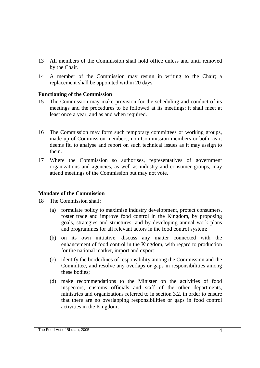- 13 All members of the Commission shall hold office unless and until removed by the Chair.
- 14 A member of the Commission may resign in writing to the Chair; a replacement shall be appointed within 20 days.

## **Functioning of the Commission**

- 15 The Commission may make provision for the scheduling and conduct of its meetings and the procedures to be followed at its meetings; it shall meet at least once a year, and as and when required.
- 16 The Commission may form such temporary committees or working groups, made up of Commission members, non-Commission members or both, as it deems fit, to analyse and report on such technical issues as it may assign to them.
- 17 Where the Commission so authorises, representatives of government organizations and agencies, as well as industry and consumer groups, may attend meetings of the Commission but may not vote.

## **Mandate of the Commission**

18 The Commission shall:

- (a) formulate policy to maximise industry development, protect consumers, foster trade and improve food control in the Kingdom, by proposing goals, strategies and structures, and by developing annual work plans and programmes for all relevant actors in the food control system;
- (b) on its own initiative, discuss any matter connected with the enhancement of food control in the Kingdom, with regard to production for the national market, import and export;
- (c) identify the borderlines of responsibility among the Commission and the Committee, and resolve any overlaps or gaps in responsibilities among these bodies;
- (d) make recommendations to the Minister on the activities of food inspectors, customs officials and staff of the other departments, ministries and organizations referred to in section 3.2, in order to ensure that there are no overlapping responsibilities or gaps in food control activities in the Kingdom;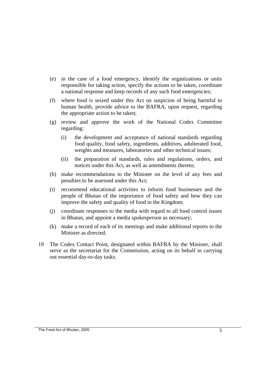- (e) in the case of a food emergency, identify the organizations or units responsible for taking action, specify the actions to be taken, coordinate a national response and keep records of any such food emergencies;
- (f) where food is seized under this Act on suspicion of being harmful to human health, provide advice to the BAFRA, upon request, regarding the appropriate action to be taken;
- (g) review and approve the work of the National Codex Committee regarding:
	- (i) the development and acceptance of national standards regarding food quality, food safety, ingredients, additives, adulterated food, weights and measures, laboratories and other technical issues;
	- (ii) the preparation of standards, rules and regulations, orders, and notices under this Act, as well as amendments thereto;
- (h) make recommendations to the Minister on the level of any fees and penalties to be assessed under this Act;
- (i) recommend educational activities to inform food businesses and the people of Bhutan of the importance of food safety and how they can improve the safety and quality of food in the Kingdom;
- (j) coordinate responses to the media with regard to all food control issues in Bhutan, and appoint a media spokesperson as necessary;
- (k) make a record of each of its meetings and make additional reports to the Minister as directed.
- 19 The Codex Contact Point, designated within BAFRA by the Minister, shall serve as the secretariat for the Commission, acting on its behalf in carrying out essential day-to-day tasks.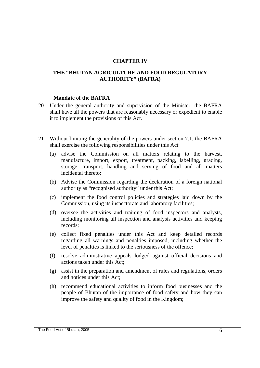### **CHAPTER IV**

### **THE "BHUTAN AGRICULTURE AND FOOD REGULATORY AUTHORITY" (BAFRA)**

#### **Mandate of the BAFRA**

- 20 Under the general authority and supervision of the Minister, the BAFRA shall have all the powers that are reasonably necessary or expedient to enable it to implement the provisions of this Act.
- 21 Without limiting the generality of the powers under section 7.1, the BAFRA shall exercise the following responsibilities under this Act:
	- (a) advise the Commission on all matters relating to the harvest, manufacture, import, export, treatment, packing, labelling, grading, storage, transport, handling and serving of food and all matters incidental thereto;
	- (b) Advise the Commission regarding the declaration of a foreign national authority as "recognised authority" under this Act;
	- (c) implement the food control policies and strategies laid down by the Commission, using its inspectorate and laboratory facilities;
	- (d) oversee the activities and training of food inspectors and analysts, including monitoring all inspection and analysis activities and keeping records;
	- (e) collect fixed penalties under this Act and keep detailed records regarding all warnings and penalties imposed, including whether the level of penalties is linked to the seriousness of the offence;
	- (f) resolve administrative appeals lodged against official decisions and actions taken under this Act;
	- (g) assist in the preparation and amendment of rules and regulations, orders and notices under this Act;
	- (h) recommend educational activities to inform food businesses and the people of Bhutan of the importance of food safety and how they can improve the safety and quality of food in the Kingdom;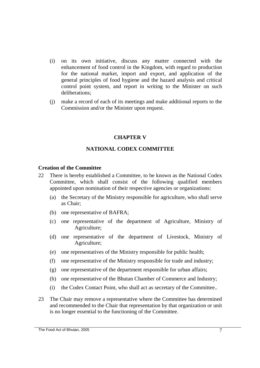- (i) on its own initiative, discuss any matter connected with the enhancement of food control in the Kingdom, with regard to production for the national market, import and export, and application of the general principles of food hygiene and the hazard analysis and critical control point system, and report in writing to the Minister on such deliberations;
- (j) make a record of each of its meetings and make additional reports to the Commission and/or the Minister upon request.

## **CHAPTER V**

## **NATIONAL CODEX COMMITTEE**

#### **Creation of the Committee**

- 22 There is hereby established a Committee, to be known as the National Codex Committee, which shall consist of the following qualified members appointed upon nomination of their respective agencies or organizations:
	- (a) the Secretary of the Ministry responsible for agriculture, who shall serve as Chair;
	- (b) one representative of BAFRA;
	- (c) one representative of the department of Agriculture, Ministry of Agriculture;
	- (d) one representative of the department of Livestock, Ministry of Agriculture;
	- (e) one representatives of the Ministry responsible for public health;
	- (f) one representative of the Ministry responsible for trade and industry;
	- (g) one representative of the department responsible for urban affairs;
	- (h) one representative of the Bhutan Chamber of Commerce and Industry;
	- (i) the Codex Contact Point, who shall act as secretary of the Committee..
- 23 The Chair may remove a representative where the Committee has determined and recommended to the Chair that representation by that organization or unit is no longer essential to the functioning of the Committee.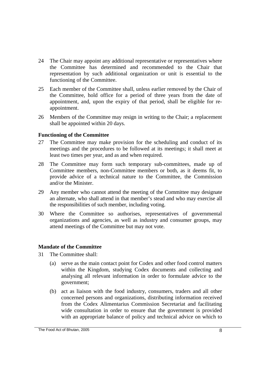- 24 The Chair may appoint any additional representative or representatives where the Committee has determined and recommended to the Chair that representation by such additional organization or unit is essential to the functioning of the Committee.
- 25 Each member of the Committee shall, unless earlier removed by the Chair of the Committee, hold office for a period of three years from the date of appointment, and, upon the expiry of that period, shall be eligible for reappointment.
- 26 Members of the Committee may resign in writing to the Chair; a replacement shall be appointed within 20 days.

## **Functioning of the Committee**

- 27 The Committee may make provision for the scheduling and conduct of its meetings and the procedures to be followed at its meetings; it shall meet at least two times per year, and as and when required.
- 28 The Committee may form such temporary sub-committees, made up of Committee members, non-Committee members or both, as it deems fit, to provide advice of a technical nature to the Committee, the Commission and/or the Minister.
- 29 Any member who cannot attend the meeting of the Committee may designate an alternate, who shall attend in that member's stead and who may exercise all the responsibilities of such member, including voting.
- 30 Where the Committee so authorises, representatives of governmental organizations and agencies, as well as industry and consumer groups, may attend meetings of the Committee but may not vote.

## **Mandate of the Committee**

- 31 The Committee shall:
	- (a) serve as the main contact point for Codex and other food control matters within the Kingdom, studying Codex documents and collecting and analysing all relevant information in order to formulate advice to the government;
	- (b) act as liaison with the food industry, consumers, traders and all other concerned persons and organizations, distributing information received from the Codex Alimentarius Commission Secretariat and facilitating wide consultation in order to ensure that the government is provided with an appropriate balance of policy and technical advice on which to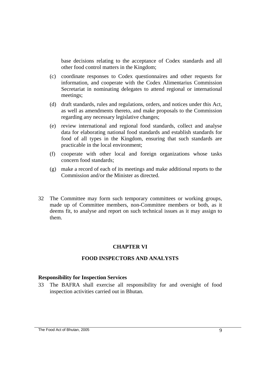base decisions relating to the acceptance of Codex standards and all other food control matters in the Kingdom;

- (c) coordinate responses to Codex questionnaires and other requests for information, and cooperate with the Codex Alimentarius Commission Secretariat in nominating delegates to attend regional or international meetings;
- (d) draft standards, rules and regulations, orders, and notices under this Act, as well as amendments thereto, and make proposals to the Commission regarding any necessary legislative changes;
- (e) review international and regional food standards, collect and analyse data for elaborating national food standards and establish standards for food of all types in the Kingdom, ensuring that such standards are practicable in the local environment;
- (f) cooperate with other local and foreign organizations whose tasks concern food standards;
- (g) make a record of each of its meetings and make additional reports to the Commission and/or the Minister as directed.
- 32 The Committee may form such temporary committees or working groups, made up of Committee members, non-Committee members or both, as it deems fit, to analyse and report on such technical issues as it may assign to them.

## **CHAPTER VI**

#### **FOOD INSPECTORS AND ANALYSTS**

### **Responsibility for Inspection Services**

33 The BAFRA shall exercise all responsibility for and oversight of food inspection activities carried out in Bhutan.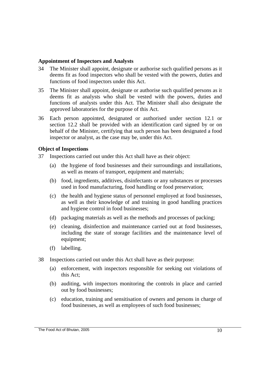## **Appointment of Inspectors and Analysts**

- 34 The Minister shall appoint, designate or authorise such qualified persons as it deems fit as food inspectors who shall be vested with the powers, duties and functions of food inspectors under this Act.
- 35 The Minister shall appoint, designate or authorise such qualified persons as it deems fit as analysts who shall be vested with the powers, duties and functions of analysts under this Act. The Minister shall also designate the approved laboratories for the purpose of this Act.
- 36 Each person appointed, designated or authorised under section 12.1 or section 12.2 shall be provided with an identification card signed by or on behalf of the Minister, certifying that such person has been designated a food inspector or analyst, as the case may be, under this Act.

## **Object of Inspections**

- 37 Inspections carried out under this Act shall have as their object:
	- (a) the hygiene of food businesses and their surroundings and installations, as well as means of transport, equipment and materials;
	- (b) food, ingredients, additives, disinfectants or any substances or processes used in food manufacturing, food handling or food preservation;
	- (c) the health and hygiene status of personnel employed at food businesses, as well as their knowledge of and training in good handling practices and hygiene control in food businesses;
	- (d) packaging materials as well as the methods and processes of packing;
	- (e) cleaning, disinfection and maintenance carried out at food businesses, including the state of storage facilities and the maintenance level of equipment;
	- (f) labelling.
- 38 Inspections carried out under this Act shall have as their purpose:
	- (a) enforcement, with inspectors responsible for seeking out violations of this Act;
	- (b) auditing, with inspectors monitoring the controls in place and carried out by food businesses;
	- (c) education, training and sensitisation of owners and persons in charge of food businesses, as well as employees of such food businesses;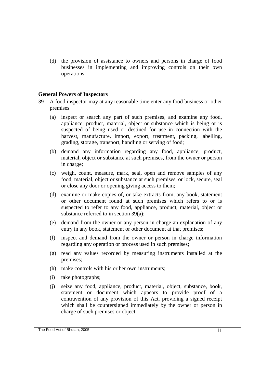(d) the provision of assistance to owners and persons in charge of food businesses in implementing and improving controls on their own operations.

### **General Powers of Inspectors**

- 39 A food inspector may at any reasonable time enter any food business or other premises
	- (a) inspect or search any part of such premises, and examine any food, appliance, product, material, object or substance which is being or is suspected of being used or destined for use in connection with the harvest, manufacture, import, export, treatment, packing, labelling, grading, storage, transport, handling or serving of food;
	- (b) demand any information regarding any food, appliance, product, material, object or substance at such premises, from the owner or person in charge;
	- (c) weigh, count, measure, mark, seal, open and remove samples of any food, material, object or substance at such premises, or lock, secure, seal or close any door or opening giving access to them;
	- (d) examine or make copies of, or take extracts from, any book, statement or other document found at such premises which refers to or is suspected to refer to any food, appliance, product, material, object or substance referred to in section 39(a);
	- (e) demand from the owner or any person in charge an explanation of any entry in any book, statement or other document at that premises;
	- (f) inspect and demand from the owner or person in charge information regarding any operation or process used in such premises;
	- (g) read any values recorded by measuring instruments installed at the premises;
	- (h) make controls with his or her own instruments;
	- (i) take photographs;
	- (j) seize any food, appliance, product, material, object, substance, book, statement or document which appears to provide proof of a contravention of any provision of this Act, providing a signed receipt which shall be countersigned immediately by the owner or person in charge of such premises or object.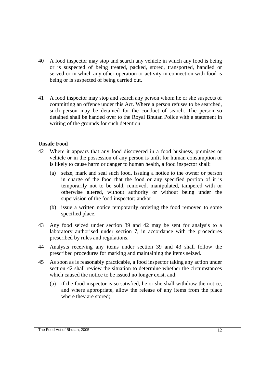- 40 A food inspector may stop and search any vehicle in which any food is being or is suspected of being treated, packed, stored, transported, handled or served or in which any other operation or activity in connection with food is being or is suspected of being carried out.
- 41 A food inspector may stop and search any person whom he or she suspects of committing an offence under this Act. Where a person refuses to be searched, such person may be detained for the conduct of search. The person so detained shall be handed over to the Royal Bhutan Police with a statement in writing of the grounds for such detention.

## **Unsafe Food**

- 42 Where it appears that any food discovered in a food business, premises or vehicle or in the possession of any person is unfit for human consumption or is likely to cause harm or danger to human health, a food inspector shall:
	- (a) seize, mark and seal such food, issuing a notice to the owner or person in charge of the food that the food or any specified portion of it is temporarily not to be sold, removed, manipulated, tampered with or otherwise altered, without authority or without being under the supervision of the food inspector; and/or
	- (b) issue a written notice temporarily ordering the food removed to some specified place.
- 43 Any food seized under section 39 and 42 may be sent for analysis to a laboratory authorised under section 7, in accordance with the procedures prescribed by rules and regulations.
- 44 Analysts receiving any items under section 39 and 43 shall follow the prescribed procedures for marking and maintaining the items seized.
- 45 As soon as is reasonably practicable, a food inspector taking any action under section 42 shall review the situation to determine whether the circumstances which caused the notice to be issued no longer exist, and:
	- (a) if the food inspector is so satisfied, he or she shall withdraw the notice, and where appropriate, allow the release of any items from the place where they are stored;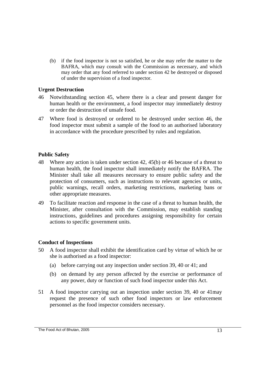(b) if the food inspector is not so satisfied, he or she may refer the matter to the BAFRA, which may consult with the Commission as necessary, and which may order that any food referred to under section 42 be destroyed or disposed of under the supervision of a food inspector.

## **Urgent Destruction**

- 46 Notwithstanding section 45, where there is a clear and present danger for human health or the environment, a food inspector may immediately destroy or order the destruction of unsafe food.
- 47 Where food is destroyed or ordered to be destroyed under section 46, the food inspector must submit a sample of the food to an authorised laboratory in accordance with the procedure prescribed by rules and regulation.

## **Public Safety**

- 48 Where any action is taken under section 42, 45(b) or 46 because of a threat to human health, the food inspector shall immediately notify the BAFRA. The Minister shall take all measures necessary to ensure public safety and the protection of consumers, such as instructions to relevant agencies or units, public warnings, recall orders, marketing restrictions, marketing bans or other appropriate measures.
- 49 To facilitate reaction and response in the case of a threat to human health, the Minister, after consultation with the Commission, may establish standing instructions, guidelines and procedures assigning responsibility for certain actions to specific government units.

## **Conduct of Inspections**

- 50 A food inspector shall exhibit the identification card by virtue of which he or she is authorised as a food inspector:
	- (a) before carrying out any inspection under section 39, 40 or 41; and
	- (b) on demand by any person affected by the exercise or performance of any power, duty or function of such food inspector under this Act.
- 51 A food inspector carrying out an inspection under section 39, 40 or 41may request the presence of such other food inspectors or law enforcement personnel as the food inspector considers necessary.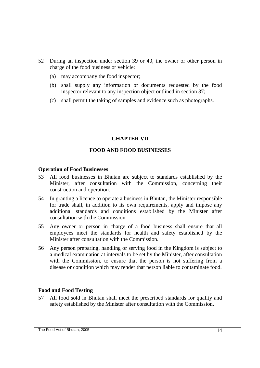- 52 During an inspection under section 39 or 40, the owner or other person in charge of the food business or vehicle:
	- (a) may accompany the food inspector;
	- (b) shall supply any information or documents requested by the food inspector relevant to any inspection object outlined in section 37;
	- (c) shall permit the taking of samples and evidence such as photographs.

## **CHAPTER VII**

## **FOOD AND FOOD BUSINESSES**

## **Operation of Food Businesses**

- 53 All food businesses in Bhutan are subject to standards established by the Minister, after consultation with the Commission, concerning their construction and operation.
- 54 In granting a licence to operate a business in Bhutan, the Minister responsible for trade shall, in addition to its own requirements, apply and impose any additional standards and conditions established by the Minister after consultation with the Commission.
- 55 Any owner or person in charge of a food business shall ensure that all employees meet the standards for health and safety established by the Minister after consultation with the Commission.
- 56 Any person preparing, handling or serving food in the Kingdom is subject to a medical examination at intervals to be set by the Minister, after consultation with the Commission, to ensure that the person is not suffering from a disease or condition which may render that person liable to contaminate food.

## **Food and Food Testing**

57 All food sold in Bhutan shall meet the prescribed standards for quality and safety established by the Minister after consultation with the Commission.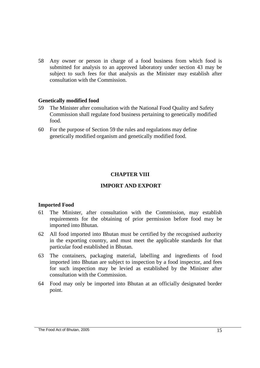58 Any owner or person in charge of a food business from which food is submitted for analysis to an approved laboratory under section 43 may be subject to such fees for that analysis as the Minister may establish after consultation with the Commission.

### **Genetically modified food**

- 59 The Minister after consultation with the National Food Quality and Safety Commission shall regulate food business pertaining to genetically modified food.
- 60 For the purpose of Section 59 the rules and regulations may define genetically modified organism and genetically modified food*.*

## **CHAPTER VIII**

## **IMPORT AND EXPORT**

### **Imported Food**

- 61 The Minister, after consultation with the Commission, may establish requirements for the obtaining of prior permission before food may be imported into Bhutan.
- 62 All food imported into Bhutan must be certified by the recognised authority in the exporting country, and must meet the applicable standards for that particular food established in Bhutan.
- 63 The containers, packaging material, labelling and ingredients of food imported into Bhutan are subject to inspection by a food inspector, and fees for such inspection may be levied as established by the Minister after consultation with the Commission.
- 64 Food may only be imported into Bhutan at an officially designated border point.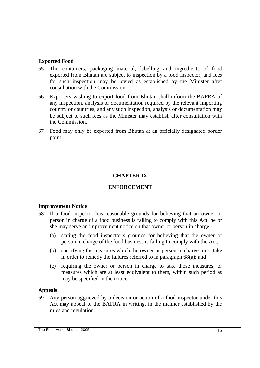## **Exported Food**

- 65 The containers, packaging material, labelling and ingredients of food exported from Bhutan are subject to inspection by a food inspector, and fees for such inspection may be levied as established by the Minister after consultation with the Commission.
- 66 Exporters wishing to export food from Bhutan shall inform the BAFRA of any inspection, analysis or documentation required by the relevant importing country or countries, and any such inspection, analysis or documentation may be subject to such fees as the Minister may establish after consultation with the Commission.
- 67 Food may only be exported from Bhutan at an officially designated border point.

## **CHAPTER IX**

## **ENFORCEMENT**

### **Improvement Notice**

- 68 If a food inspector has reasonable grounds for believing that an owner or person in charge of a food business is failing to comply with this Act, he or she may serve an improvement notice on that owner or person in charge:
	- (a) stating the food inspector's grounds for believing that the owner or person in charge of the food business is failing to comply with the Act;
	- (b) specifying the measures which the owner or person in charge must take in order to remedy the failures referred to in paragraph 68(a); and
	- (c) requiring the owner or person in charge to take those measures, or measures which are at least equivalent to them, within such period as may be specified in the notice.

### **Appeals**

69 Any person aggrieved by a decision or action of a food inspector under this Act may appeal to the BAFRA in writing, in the manner established by the rules and regulation.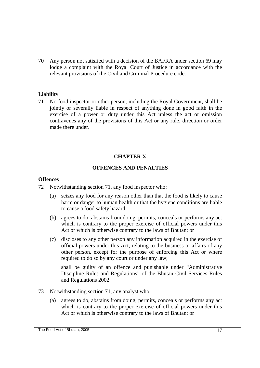70 Any person not satisfied with a decision of the BAFRA under section 69 may lodge a complaint with the Royal Court of Justice in accordance with the relevant provisions of the Civil and Criminal Procedure code.

## **Liability**

71 No food inspector or other person, including the Royal Government, shall be jointly or severally liable in respect of anything done in good faith in the exercise of a power or duty under this Act unless the act or omission contravenes any of the provisions of this Act or any rule, direction or order made there under.

## **CHAPTER X**

## **OFFENCES AND PENALTIES**

## **Offences**

- 72 Notwithstanding section 71, any food inspector who:
	- (a) seizes any food for any reason other than that the food is likely to cause harm or danger to human health or that the hygiene conditions are liable to cause a food safety hazard;
	- (b) agrees to do, abstains from doing, permits, conceals or performs any act which is contrary to the proper exercise of official powers under this Act or which is otherwise contrary to the laws of Bhutan; or
	- (c) discloses to any other person any information acquired in the exercise of official powers under this Act, relating to the business or affairs of any other person, except for the purpose of enforcing this Act or where required to do so by any court or under any law;

 shall be guilty of an offence and punishable under "Administrative Discipline Rules and Regulations" of the Bhutan Civil Services Rules and Regulations 2002.

- 73 Notwithstanding section 71, any analyst who:
	- (a) agrees to do, abstains from doing, permits, conceals or performs any act which is contrary to the proper exercise of official powers under this Act or which is otherwise contrary to the laws of Bhutan; or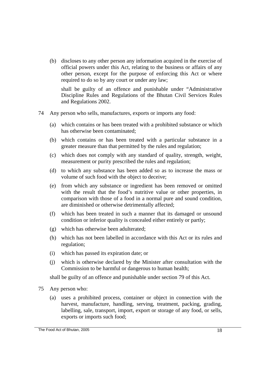(b) discloses to any other person any information acquired in the exercise of official powers under this Act, relating to the business or affairs of any other person, except for the purpose of enforcing this Act or where required to do so by any court or under any law;

 shall be guilty of an offence and punishable under "Administrative Discipline Rules and Regulations of the Bhutan Civil Services Rules and Regulations 2002.

- 74 Any person who sells, manufactures, exports or imports any food:
	- (a) which contains or has been treated with a prohibited substance or which has otherwise been contaminated;
	- (b) which contains or has been treated with a particular substance in a greater measure than that permitted by the rules and regulation;
	- (c) which does not comply with any standard of quality, strength, weight, measurement or purity prescribed the rules and regulation;
	- (d) to which any substance has been added so as to increase the mass or volume of such food with the object to deceive;
	- (e) from which any substance or ingredient has been removed or omitted with the result that the food's nutritive value or other properties, in comparison with those of a food in a normal pure and sound condition, are diminished or otherwise detrimentally affected;
	- (f) which has been treated in such a manner that its damaged or unsound condition or inferior quality is concealed either entirely or partly;
	- (g) which has otherwise been adulterated;
	- (h) which has not been labelled in accordance with this Act or its rules and regulation;
	- (i) which has passed its expiration date; or
	- (j) which is otherwise declared by the Minister after consultation with the Commission to be harmful or dangerous to human health;

shall be guilty of an offence and punishable under section 79 of this Act.

- 75 Any person who:
	- (a) uses a prohibited process, container or object in connection with the harvest, manufacture, handling, serving, treatment, packing, grading, labelling, sale, transport, import, export or storage of any food, or sells, exports or imports such food;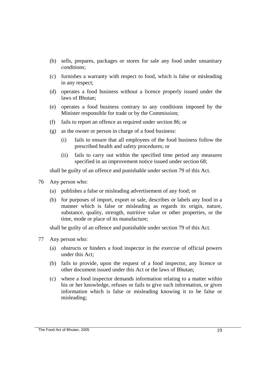- (b) sells, prepares, packages or stores for sale any food under unsanitary conditions;
- (c) furnishes a warranty with respect to food, which is false or misleading in any respect;
- (d) operates a food business without a licence properly issued under the laws of Bhutan;
- (e) operates a food business contrary to any conditions imposed by the Minister responsible for trade or by the Commission;
- (f) fails to report an offence as required under section 86; or
- (g) as the owner or person in charge of a food business:
	- (i) fails to ensure that all employees of the food business follow the prescribed health and safety procedures; or
	- (ii) fails to carry out within the specified time period any measures specified in an improvement notice issued under section 68;

shall be guilty of an offence and punishable under section 79 of this Act.

- 76 Any person who:
	- (a) publishes a false or misleading advertisement of any food; or
	- (b) for purposes of import, export or sale, describes or labels any food in a manner which is false or misleading as regards its origin, nature, substance, quality, strength, nutritive value or other properties, or the time, mode or place of its manufacture;

shall be guilty of an offence and punishable under section 79 of this Act.

- 77 Any person who:
	- (a) obstructs or hinders a food inspector in the exercise of official powers under this Act;
	- (b) fails to provide, upon the request of a food inspector, any licence or other document issued under this Act or the laws of Bhutan;
	- (c) where a food inspector demands information relating to a matter within his or her knowledge, refuses or fails to give such information, or gives information which is false or misleading knowing it to be false or misleading;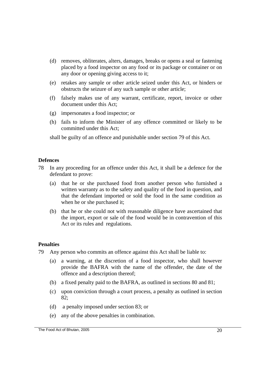- (d) removes, obliterates, alters, damages, breaks or opens a seal or fastening placed by a food inspector on any food or its package or container or on any door or opening giving access to it;
- (e) retakes any sample or other article seized under this Act, or hinders or obstructs the seizure of any such sample or other article;
- (f) falsely makes use of any warrant, certificate, report, invoice or other document under this Act;
- (g) impersonates a food inspector; or
- (h) fails to inform the Minister of any offence committed or likely to be committed under this Act;

shall be guilty of an offence and punishable under section 79 of this Act.

## **Defences**

- 78 In any proceeding for an offence under this Act, it shall be a defence for the defendant to prove:
	- (a) that he or she purchased food from another person who furnished a written warranty as to the safety and quality of the food in question, and that the defendant imported or sold the food in the same condition as when he or she purchased it;
	- (b) that he or she could not with reasonable diligence have ascertained that the import, export or sale of the food would be in contravention of this Act or its rules and regulations.

### **Penalties**

- 79 Any person who commits an offence against this Act shall be liable to:
	- (a) a warning, at the discretion of a food inspector, who shall however provide the BAFRA with the name of the offender, the date of the offence and a description thereof;
	- (b) a fixed penalty paid to the BAFRA, as outlined in sections 80 and 81;
	- (c) upon conviction through a court process, a penalty as outlined in section 82;
	- (d) a penalty imposed under section 83; or
	- (e) any of the above penalties in combination.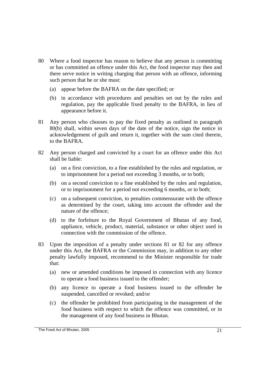- 80 Where a food inspector has reason to believe that any person is committing or has committed an offence under this Act, the food inspector may then and there serve notice in writing charging that person with an offence, informing such person that he or she must:
	- (a) appear before the BAFRA on the date specified; or
	- (b) in accordance with procedures and penalties set out by the rules and regulation, pay the applicable fixed penalty to the BAFRA, in lieu of appearance before it.
- 81 Any person who chooses to pay the fixed penalty as outlined in paragraph 80(b) shall, within seven days of the date of the notice, sign the notice in acknowledgement of guilt and return it, together with the sum cited therein, to the BAFRA.
- 82 Any person charged and convicted by a court for an offence under this Act shall be liable:
	- (a) on a first conviction, to a fine established by the rules and regulation, or to imprisonment for a period not exceeding 3 months, or to both;
	- (b) on a second conviction to a fine established by the rules and regulation, or to imprisonment for a period not exceeding 6 months, or to both;
	- (c) on a subsequent conviction, to penalties commensurate with the offence as determined by the court, taking into account the offender and the nature of the offence;
	- (d) to the forfeiture to the Royal Government of Bhutan of any food, appliance, vehicle, product, material, substance or other object used in connection with the commission of the offence.
- 83 Upon the imposition of a penalty under sections 81 or 82 for any offence under this Act, the BAFRA or the Commission may, in addition to any other penalty lawfully imposed, recommend to the Minister responsible for trade that:
	- (a) new or amended conditions be imposed in connection with any licence to operate a food business issued to the offender;
	- (b) any licence to operate a food business issued to the offender be suspended, cancelled or revoked; and/or
	- (c) the offender be prohibited from participating in the management of the food business with respect to which the offence was committed, or in the management of any food business in Bhutan.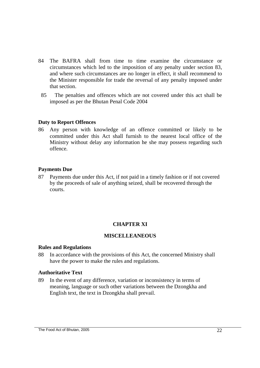- 84 The BAFRA shall from time to time examine the circumstance or circumstances which led to the imposition of any penalty under section 83, and where such circumstances are no longer in effect, it shall recommend to the Minister responsible for trade the reversal of any penalty imposed under that section.
- 85 The penalties and offences which are not covered under this act shall be imposed as per the Bhutan Penal Code 2004

## **Duty to Report Offences**

86 Any person with knowledge of an offence committed or likely to be committed under this Act shall furnish to the nearest local office of the Ministry without delay any information he she may possess regarding such offence.

## **Payments Due**

87 Payments due under this Act, if not paid in a timely fashion or if not covered by the proceeds of sale of anything seized, shall be recovered through the courts.

## **CHAPTER XI**

## **MISCELLEANEOUS**

### **Rules and Regulations**

88 In accordance with the provisions of this Act, the concerned Ministry shall have the power to make the rules and regulations.

### **Authoritative Text**

89 In the event of any difference, variation or inconsistency in terms of meaning, language or such other variations between the Dzongkha and English text, the text in Dzongkha shall prevail.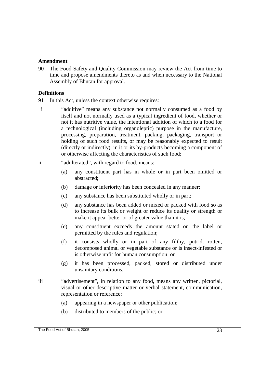### **Amendment**

90 The Food Safety and Quality Commission may review the Act from time to time and propose amendments thereto as and when necessary to the National Assembly of Bhutan for approval.

### **Definitions**

- 91 In this Act, unless the context otherwise requires:
- i "additive" means any substance not normally consumed as a food by itself and not normally used as a typical ingredient of food, whether or not it has nutritive value, the intentional addition of which to a food for a technological (including organoleptic) purpose in the manufacture, processing, preparation, treatment, packing, packaging, transport or holding of such food results, or may be reasonably expected to result (directly or indirectly), in it or its by-products becoming a component of or otherwise affecting the characteristics of such food;

#### ii "adulterated", with regard to food, means:

- (a) any constituent part has in whole or in part been omitted or abstracted;
- (b) damage or inferiority has been concealed in any manner;
- (c) any substance has been substituted wholly or in part;
- (d) any substance has been added or mixed or packed with food so as to increase its bulk or weight or reduce its quality or strength or make it appear better or of greater value than it is;
- (e) any constituent exceeds the amount stated on the label or permitted by the rules and regulation;
- (f) it consists wholly or in part of any filthy, putrid, rotten, decomposed animal or vegetable substance or is insect-infested or is otherwise unfit for human consumption; or
- (g) it has been processed, packed, stored or distributed under unsanitary conditions.
- iii "advertisement", in relation to any food, means any written, pictorial, visual or other descriptive matter or verbal statement, communication, representation or reference:
	- (a) appearing in a newspaper or other publication;
	- (b) distributed to members of the public; or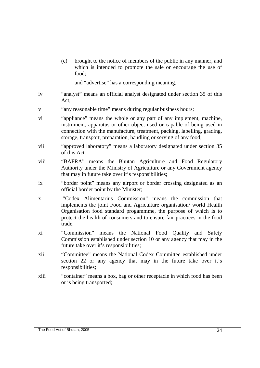(c) brought to the notice of members of the public in any manner, and which is intended to promote the sale or encourage the use of food;

and "advertise" has a corresponding meaning.

- iv "analyst" means an official analyst designated under section 35 of this Act;
- v "any reasonable time" means during regular business hours;
- vi "appliance" means the whole or any part of any implement, machine, instrument, apparatus or other object used or capable of being used in connection with the manufacture, treatment, packing, labelling, grading, storage, transport, preparation, handling or serving of any food;
- vii "approved laboratory" means a laboratory designated under section 35 of this Act.
- viii "BAFRA" means the Bhutan Agriculture and Food Regulatory Authority under the Ministry of Agriculture or any Government agency that may in future take over it's responsibilities;
- ix "border point" means any airport or border crossing designated as an official border point by the Minister;
- x "Codex Alimentarius Commission" means the commission that implements the joint Food and Agriculture organisation/ world Health Organisation food standard progammme, the purpose of which is to protect the health of consumers and to ensure fair practices in the food trade.
- xi "Commission" means the National Food Quality and Safety Commission established under section 10 or any agency that may in the future take over it's responsibilities;
- xii "Committee" means the National Codex Committee established under section 22 or any agency that may in the future take over it's responsibilities;
- xiii "container" means a box, bag or other receptacle in which food has been or is being transported;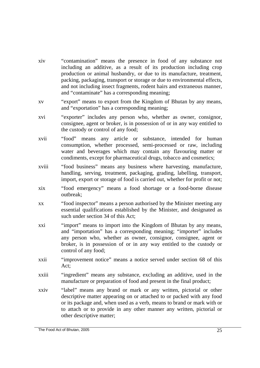- xiv "contamination" means the presence in food of any substance not including an additive, as a result of its production including crop production or animal husbandry, or due to its manufacture, treatment, packing, packaging, transport or storage or due to environmental effects, and not including insect fragments, rodent hairs and extraneous manner, and "contaminate" has a corresponding meaning;
- xv "export" means to export from the Kingdom of Bhutan by any means, and "exportation" has a corresponding meaning;
- xvi "exporter" includes any person who, whether as owner, consignor, consignee, agent or broker, is in possession of or in any way entitled to the custody or control of any food;
- xvii "food" means any article or substance, intended for human consumption, whether processed, semi-processed or raw, including water and beverages which may contain any flavouring matter or condiments, except for pharmaceutical drugs, tobacco and cosmetics;
- xviii "food business" means any business where harvesting, manufacture, handling, serving, treatment, packaging, grading, labelling, transport, import, export or storage of food is carried out, whether for profit or not;
- xix "food emergency" means a food shortage or a food-borne disease outbreak;
- xx "food inspector" means a person authorised by the Minister meeting any essential qualifications established by the Minister, and designated as such under section 34 of this Act;
- xxi "import" means to import into the Kingdom of Bhutan by any means, and "importation" has a corresponding meaning; "importer" includes any person who, whether as owner, consignor, consignee, agent or broker, is in possession of or in any way entitled to the custody or control of any food;
- xxii "improvement notice" means a notice served under section 68 of this Act;
- xxiii "ingredient" means any substance, excluding an additive, used in the manufacture or preparation of food and present in the final product;
- xxiv "label" means any brand or mark or any written, pictorial or other descriptive matter appearing on or attached to or packed with any food or its package and, when used as a verb, means to brand or mark with or to attach or to provide in any other manner any written, pictorial or other descriptive matter;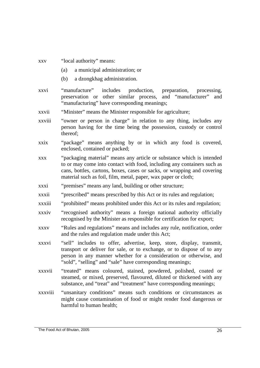- xxv "local authority" means:
	- (a) a municipal administration; or
	- (b) a dzongkhag administration.
- xxvi "manufacture" includes production, preparation, processing, preservation or other similar process, and "manufacturer" and "manufacturing" have corresponding meanings;
- xxvii "Minister" means the Minister responsible for agriculture;
- xxviii "owner or person in charge" in relation to any thing, includes any person having for the time being the possession, custody or control thereof;
- xxix "package" means anything by or in which any food is covered, enclosed, contained or packed;
- xxx "packaging material" means any article or substance which is intended to or may come into contact with food, including any containers such as cans, bottles, cartons, boxes, cases or sacks, or wrapping and covering material such as foil, film, metal, paper, wax paper or cloth;
- xxxi "premises" means any land, building or other structure;
- xxxii "prescribed" means prescribed by this Act or its rules and regulation;
- xxxiii "prohibited" means prohibited under this Act or its rules and regulation;
- xxxiv "recognised authority" means a foreign national authority officially recognised by the Minister as responsible for certification for export;
- xxxv "Rules and regulations" means and includes any rule, notification, order and the rules and regulation made under this Act;
- xxxvi "sell" includes to offer, advertise, keep, store, display, transmit, transport or deliver for sale, or to exchange, or to dispose of to any person in any manner whether for a consideration or otherwise, and "sold", "selling" and "sale" have corresponding meanings;
- xxxvii "treated" means coloured, stained, powdered, polished, coated or steamed, or mixed, preserved, flavoured, diluted or thickened with any substance, and "treat" and "treatment" have corresponding meanings;
- xxxviii "unsanitary conditions" means such conditions or circumstances as might cause contamination of food or might render food dangerous or harmful to human health;